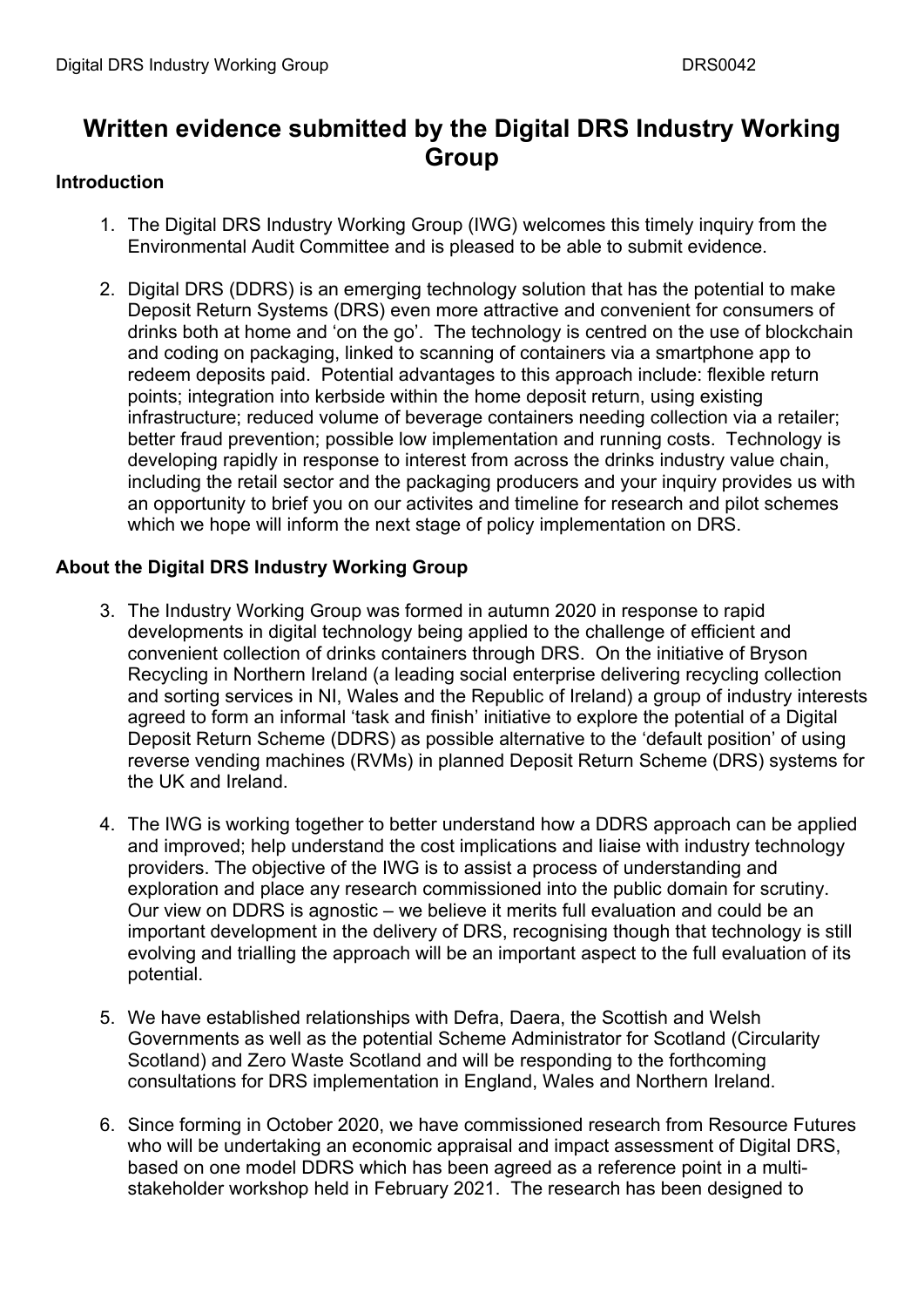# **Written evidence submitted by the Digital DRS Industry Working Group**

### **Introduction**

- 1. The Digital DRS Industry Working Group (IWG) welcomes this timely inquiry from the Environmental Audit Committee and is pleased to be able to submit evidence.
- 2. Digital DRS (DDRS) is an emerging technology solution that has the potential to make Deposit Return Systems (DRS) even more attractive and convenient for consumers of drinks both at home and 'on the go'. The technology is centred on the use of blockchain and coding on packaging, linked to scanning of containers via a smartphone app to redeem deposits paid. Potential advantages to this approach include: flexible return points; integration into kerbside within the home deposit return, using existing infrastructure; reduced volume of beverage containers needing collection via a retailer; better fraud prevention; possible low implementation and running costs. Technology is developing rapidly in response to interest from across the drinks industry value chain, including the retail sector and the packaging producers and your inquiry provides us with an opportunity to brief you on our activites and timeline for research and pilot schemes which we hope will inform the next stage of policy implementation on DRS.

## **About the Digital DRS Industry Working Group**

- 3. The Industry Working Group was formed in autumn 2020 in response to rapid developments in digital technology being applied to the challenge of efficient and convenient collection of drinks containers through DRS. On the initiative of Bryson Recycling in Northern Ireland (a leading social enterprise delivering recycling collection and sorting services in NI, Wales and the Republic of Ireland) a group of industry interests agreed to form an informal 'task and finish' initiative to explore the potential of a Digital Deposit Return Scheme (DDRS) as possible alternative to the 'default position' of using reverse vending machines (RVMs) in planned Deposit Return Scheme (DRS) systems for the UK and Ireland.
- 4. The IWG is working together to better understand how a DDRS approach can be applied and improved; help understand the cost implications and liaise with industry technology providers. The objective of the IWG is to assist a process of understanding and exploration and place any research commissioned into the public domain for scrutiny. Our view on DDRS is agnostic – we believe it merits full evaluation and could be an important development in the delivery of DRS, recognising though that technology is still evolving and trialling the approach will be an important aspect to the full evaluation of its potential.
- 5. We have established relationships with Defra, Daera, the Scottish and Welsh Governments as well as the potential Scheme Administrator for Scotland (Circularity Scotland) and Zero Waste Scotland and will be responding to the forthcoming consultations for DRS implementation in England, Wales and Northern Ireland.
- 6. Since forming in October 2020, we have commissioned research from Resource Futures who will be undertaking an economic appraisal and impact assessment of Digital DRS, based on one model DDRS which has been agreed as a reference point in a multistakeholder workshop held in February 2021. The research has been designed to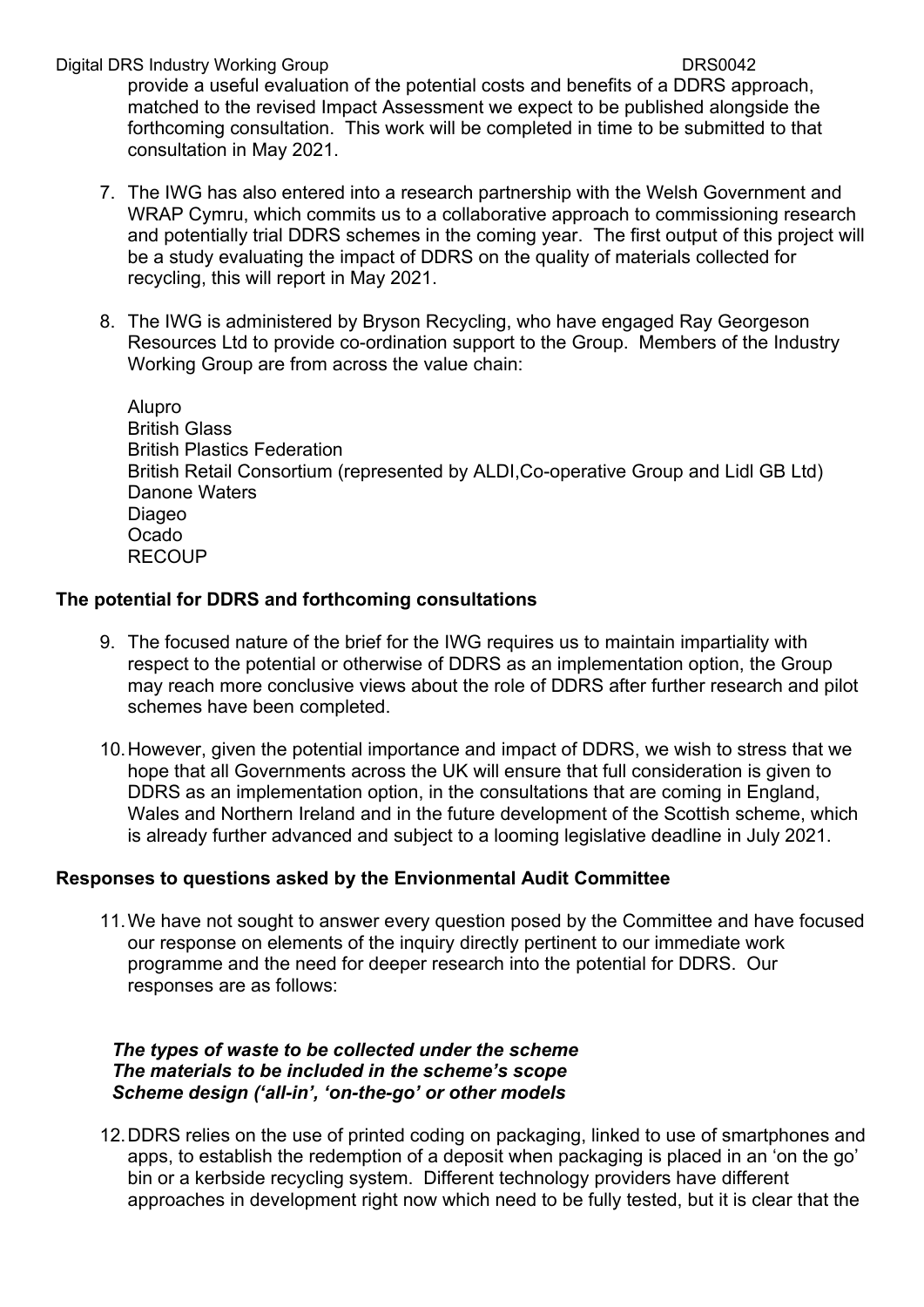Digital DRS Industry Working Group DRS0042

provide a useful evaluation of the potential costs and benefits of a DDRS approach, matched to the revised Impact Assessment we expect to be published alongside the forthcoming consultation. This work will be completed in time to be submitted to that consultation in May 2021.

- 7. The IWG has also entered into a research partnership with the Welsh Government and WRAP Cymru, which commits us to a collaborative approach to commissioning research and potentially trial DDRS schemes in the coming year. The first output of this project will be a study evaluating the impact of DDRS on the quality of materials collected for recycling, this will report in May 2021.
- 8. The IWG is administered by Bryson Recycling, who have engaged Ray Georgeson Resources Ltd to provide co-ordination support to the Group. Members of the Industry Working Group are from across the value chain:

Alupro British Glass British Plastics Federation British Retail Consortium (represented by ALDI,Co-operative Group and Lidl GB Ltd) Danone Waters Diageo Ocado RECOUP

### **The potential for DDRS and forthcoming consultations**

- 9. The focused nature of the brief for the IWG requires us to maintain impartiality with respect to the potential or otherwise of DDRS as an implementation option, the Group may reach more conclusive views about the role of DDRS after further research and pilot schemes have been completed.
- 10.However, given the potential importance and impact of DDRS, we wish to stress that we hope that all Governments across the UK will ensure that full consideration is given to DDRS as an implementation option, in the consultations that are coming in England, Wales and Northern Ireland and in the future development of the Scottish scheme, which is already further advanced and subject to a looming legislative deadline in July 2021.

#### **Responses to questions asked by the Envionmental Audit Committee**

11.We have not sought to answer every question posed by the Committee and have focused our response on elements of the inquiry directly pertinent to our immediate work programme and the need for deeper research into the potential for DDRS. Our responses are as follows:

#### *The types of waste to be collected under the scheme The materials to be included in the scheme's scope Scheme design ('all-in', 'on-the-go' or other models*

12.DDRS relies on the use of printed coding on packaging, linked to use of smartphones and apps, to establish the redemption of a deposit when packaging is placed in an 'on the go' bin or a kerbside recycling system. Different technology providers have different approaches in development right now which need to be fully tested, but it is clear that the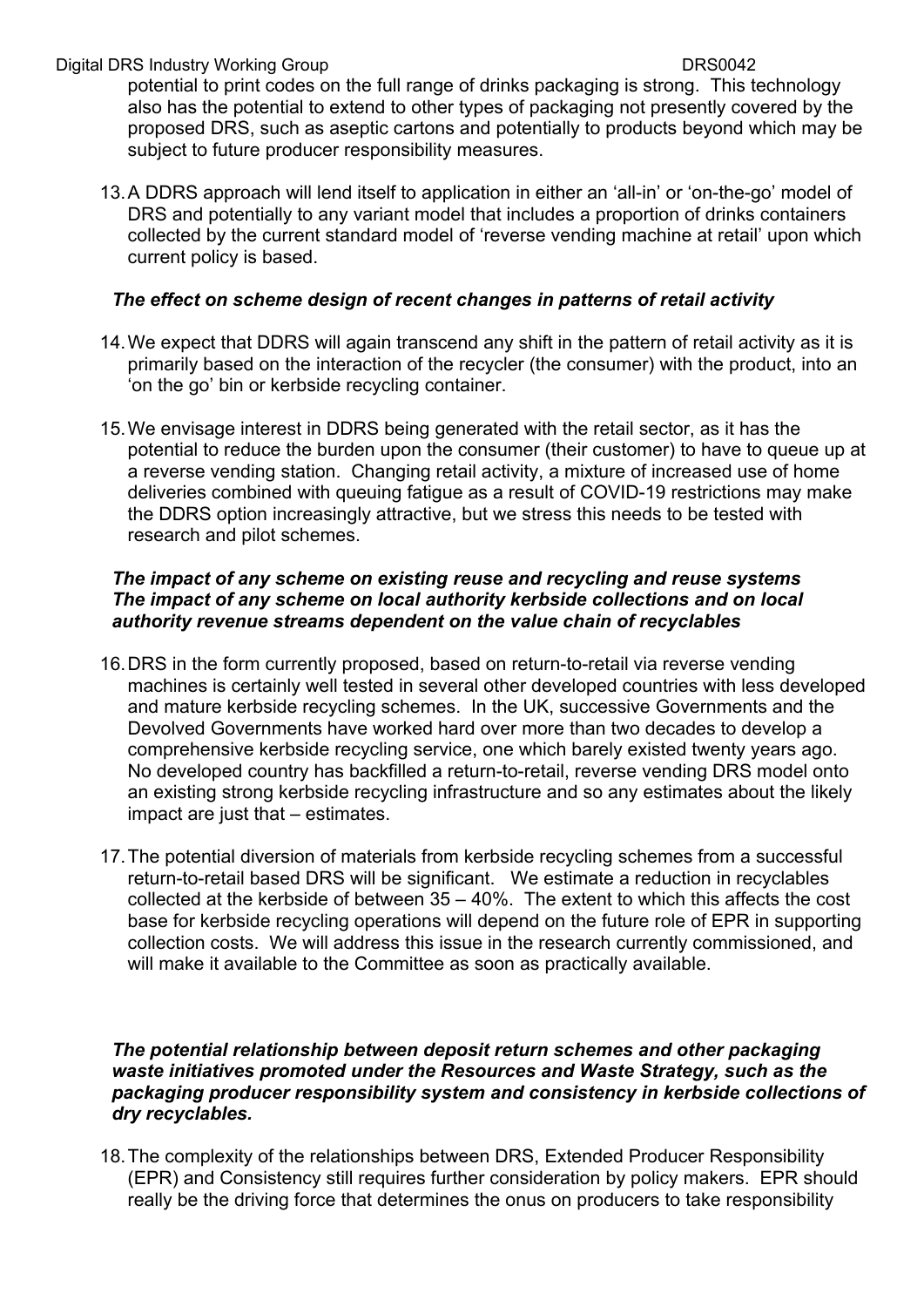#### Digital DRS Industry Working Group DRS0042

potential to print codes on the full range of drinks packaging is strong. This technology also has the potential to extend to other types of packaging not presently covered by the proposed DRS, such as aseptic cartons and potentially to products beyond which may be subject to future producer responsibility measures.

13.A DDRS approach will lend itself to application in either an 'all-in' or 'on-the-go' model of DRS and potentially to any variant model that includes a proportion of drinks containers collected by the current standard model of 'reverse vending machine at retail' upon which current policy is based.

### *The effect on scheme design of recent changes in patterns of retail activity*

- 14.We expect that DDRS will again transcend any shift in the pattern of retail activity as it is primarily based on the interaction of the recycler (the consumer) with the product, into an 'on the go' bin or kerbside recycling container.
- 15.We envisage interest in DDRS being generated with the retail sector, as it has the potential to reduce the burden upon the consumer (their customer) to have to queue up at a reverse vending station. Changing retail activity, a mixture of increased use of home deliveries combined with queuing fatigue as a result of COVID-19 restrictions may make the DDRS option increasingly attractive, but we stress this needs to be tested with research and pilot schemes.

### *The impact of any scheme on existing reuse and recycling and reuse systems The impact of any scheme on local authority kerbside collections and on local authority revenue streams dependent on the value chain of recyclables*

- 16.DRS in the form currently proposed, based on return-to-retail via reverse vending machines is certainly well tested in several other developed countries with less developed and mature kerbside recycling schemes. In the UK, successive Governments and the Devolved Governments have worked hard over more than two decades to develop a comprehensive kerbside recycling service, one which barely existed twenty years ago. No developed country has backfilled a return-to-retail, reverse vending DRS model onto an existing strong kerbside recycling infrastructure and so any estimates about the likely impact are just that – estimates.
- 17.The potential diversion of materials from kerbside recycling schemes from a successful return-to-retail based DRS will be significant. We estimate a reduction in recyclables collected at the kerbside of between 35 – 40%. The extent to which this affects the cost base for kerbside recycling operations will depend on the future role of EPR in supporting collection costs. We will address this issue in the research currently commissioned, and will make it available to the Committee as soon as practically available.

#### *The potential relationship between deposit return schemes and other packaging waste initiatives promoted under the Resources and Waste Strategy, such as the packaging producer responsibility system and consistency in kerbside collections of dry recyclables.*

18.The complexity of the relationships between DRS, Extended Producer Responsibility (EPR) and Consistency still requires further consideration by policy makers. EPR should really be the driving force that determines the onus on producers to take responsibility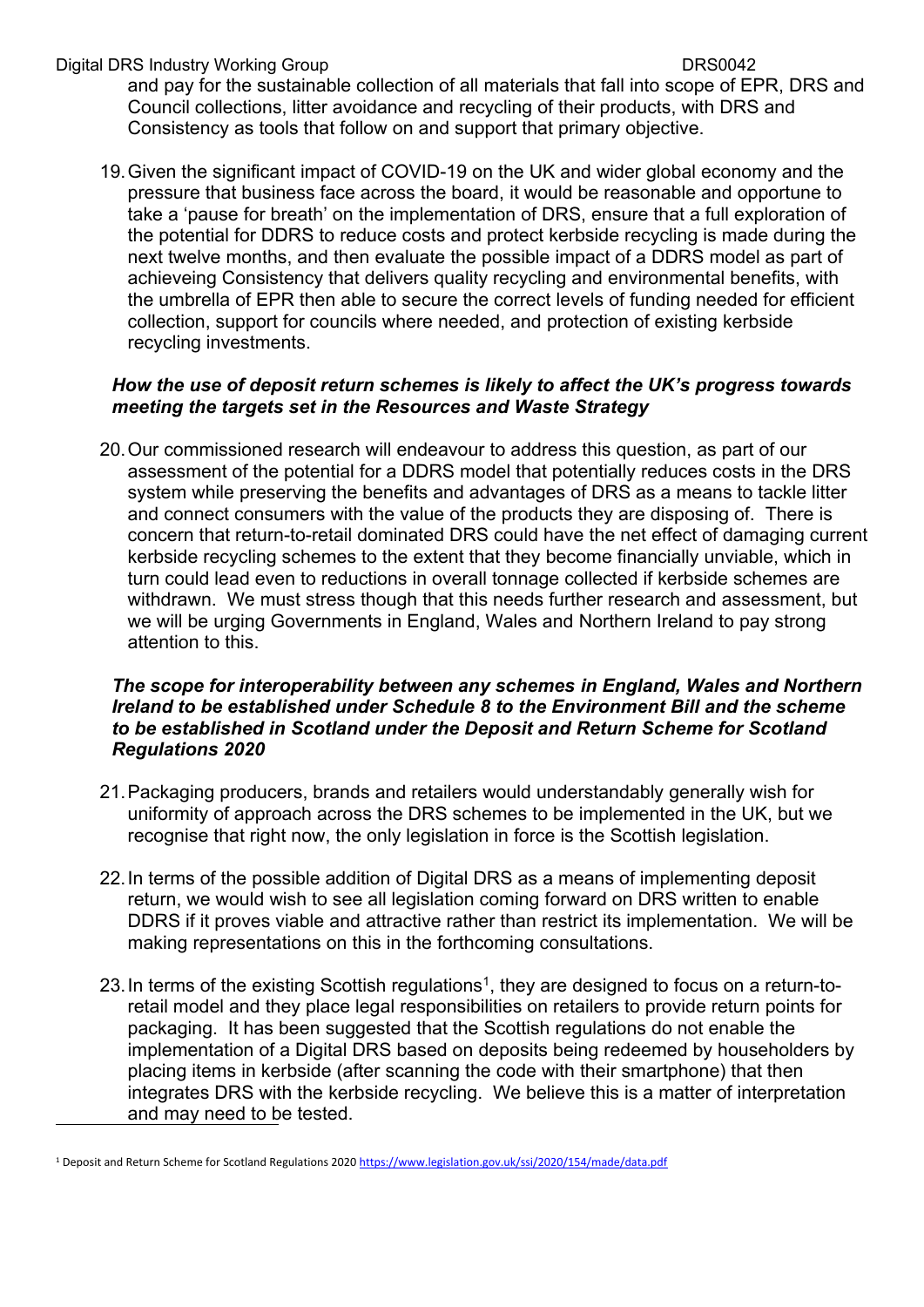#### Digital DRS Industry Working Group DRS0042

and pay for the sustainable collection of all materials that fall into scope of EPR, DRS and Council collections, litter avoidance and recycling of their products, with DRS and Consistency as tools that follow on and support that primary objective.

19.Given the significant impact of COVID-19 on the UK and wider global economy and the pressure that business face across the board, it would be reasonable and opportune to take a 'pause for breath' on the implementation of DRS, ensure that a full exploration of the potential for DDRS to reduce costs and protect kerbside recycling is made during the next twelve months, and then evaluate the possible impact of a DDRS model as part of achieveing Consistency that delivers quality recycling and environmental benefits, with the umbrella of EPR then able to secure the correct levels of funding needed for efficient collection, support for councils where needed, and protection of existing kerbside recycling investments.

### *How the use of deposit return schemes is likely to affect the UK's progress towards meeting the targets set in the Resources and Waste Strategy*

20.Our commissioned research will endeavour to address this question, as part of our assessment of the potential for a DDRS model that potentially reduces costs in the DRS system while preserving the benefits and advantages of DRS as a means to tackle litter and connect consumers with the value of the products they are disposing of. There is concern that return-to-retail dominated DRS could have the net effect of damaging current kerbside recycling schemes to the extent that they become financially unviable, which in turn could lead even to reductions in overall tonnage collected if kerbside schemes are withdrawn. We must stress though that this needs further research and assessment, but we will be urging Governments in England, Wales and Northern Ireland to pay strong attention to this.

#### *The scope for interoperability between any schemes in England, Wales and Northern Ireland to be established under Schedule 8 to the Environment Bill and the scheme to be established in Scotland under the Deposit and Return Scheme for Scotland Regulations 2020*

- 21.Packaging producers, brands and retailers would understandably generally wish for uniformity of approach across the DRS schemes to be implemented in the UK, but we recognise that right now, the only legislation in force is the Scottish legislation.
- 22.In terms of the possible addition of Digital DRS as a means of implementing deposit return, we would wish to see all legislation coming forward on DRS written to enable DDRS if it proves viable and attractive rather than restrict its implementation. We will be making representations on this in the forthcoming consultations.
- 23. In terms of the existing Scottish regulations<sup>1</sup>, they are designed to focus on a return-toretail model and they place legal responsibilities on retailers to provide return points for packaging. It has been suggested that the Scottish regulations do not enable the implementation of a Digital DRS based on deposits being redeemed by householders by placing items in kerbside (after scanning the code with their smartphone) that then integrates DRS with the kerbside recycling. We believe this is a matter of interpretation and may need to be tested.

<sup>&</sup>lt;sup>1</sup> Deposit and Return Scheme for Scotland Regulations 2020 [https://www.legislation.gov.uk/ssi/2020/154/made/data.pdf](https://eur01.safelinks.protection.outlook.com/?url=https%3A%2F%2Fwww.legislation.gov.uk%2Fssi%2F2020%2F154%2Fmade%2Fdata.pdf&data=04%7C01%7CHoward.Davies022%40gov.wales%7Cc45c1921f7064ba4a5fc08d8d8add16b%7Ca2cc36c592804ae78887d06dab89216b%7C0%7C1%7C637497588349228943%7CUnknown%7CTWFpbGZsb3d8eyJWIjoiMC4wLjAwMDAiLCJQIjoiV2luMzIiLCJBTiI6Ik1haWwiLCJXVCI6Mn0%3D%7C1000&sdata=ieeEyCCvpUYuxcH89E8CsdekbkReNdVylhQXkCdI7O0%3D&reserved=0)